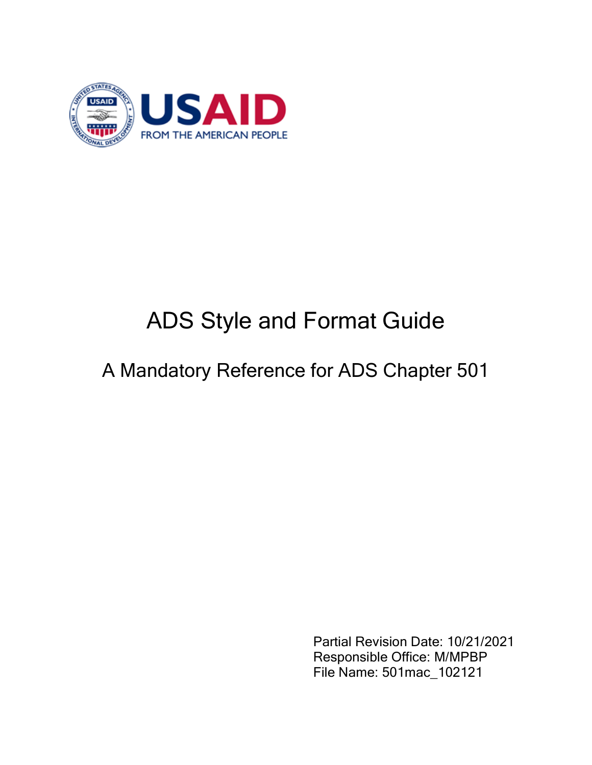

# ADS Style and Format Guide

## A Mandatory Reference for ADS Chapter 501

Partial Revision Date: 10/21/2021 Responsible Office: M/MPBP File Name: 501mac\_102121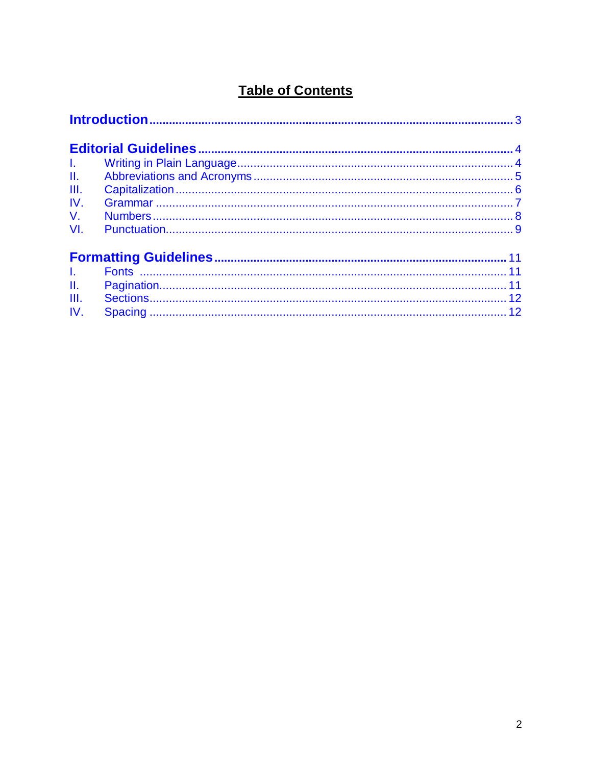## **Table of Contents**

| $\mathbf{L}$ |  |
|--------------|--|
| H.           |  |
| III.         |  |
| IV.          |  |
| $V_{\cdot}$  |  |
| VI.          |  |
|              |  |
|              |  |
| II.          |  |
| III.         |  |
| IV.          |  |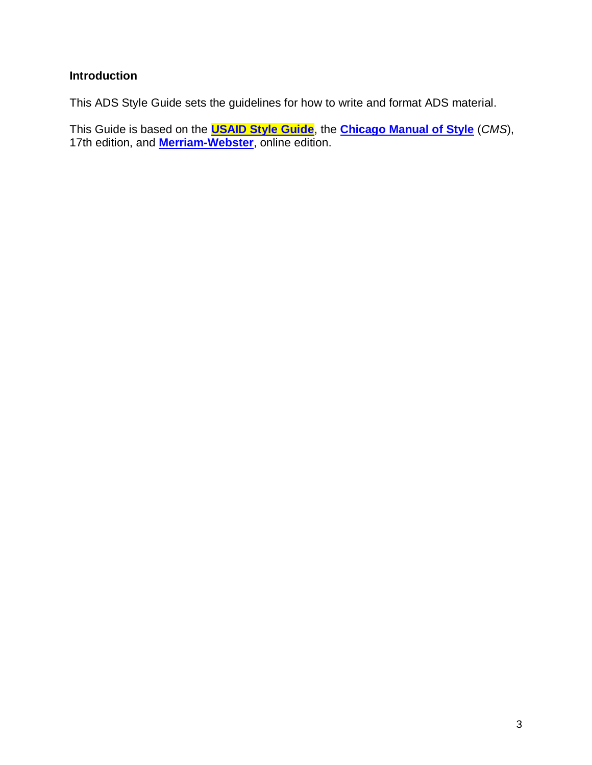## <span id="page-2-0"></span>**Introduction**

This ADS Style Guide sets the guidelines for how to write and format ADS material.

This Guide is based on the **[USAID Style Guide](https://docs.google.com/document/d/1voGPRiFyvgdGsufPXxFA1muup7xZni-FCSRdsjd-xiw/edit)**, the **[Chicago Manual of Style](https://www.chicagomanualofstyle.org/home.html)** (*CMS*), 17th edition, and **[Merriam-Webster](http://unabridged.merriam-webster.com/?msg=0218133bf97fb765ea98600860c2d0f1e77bafb3&accountId=12465743&accountName=US+AGENCY+FOR+INTL+DEVELOPMENT&ts=1552331849728)**, online edition.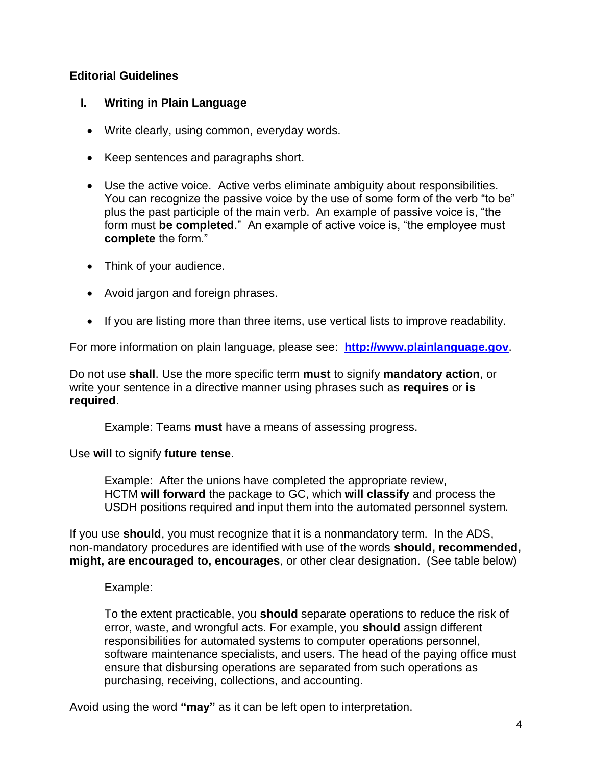## <span id="page-3-0"></span>**Editorial Guidelines**

## <span id="page-3-1"></span>**I. Writing in Plain Language**

- Write clearly, using common, everyday words.
- Keep sentences and paragraphs short.
- Use the active voice. Active verbs eliminate ambiguity about responsibilities. You can recognize the passive voice by the use of some form of the verb "to be" plus the past participle of the main verb. An example of passive voice is, "the form must **be completed**." An example of active voice is, "the employee must **complete** the form."
- Think of your audience.
- Avoid jargon and foreign phrases.
- If you are listing more than three items, use vertical lists to improve readability.

For more information on plain language, please see: **[http://www.plainlanguage.gov](http://www.plainlanguage.gov/)**.

Do not use **shall**. Use the more specific term **must** to signify **mandatory action**, or write your sentence in a directive manner using phrases such as **requires** or **is required**.

Example: Teams **must** have a means of assessing progress.

Use **will** to signify **future tense**.

Example: After the unions have completed the appropriate review, HCTM **will forward** the package to GC, which **will classify** and process the USDH positions required and input them into the automated personnel system.

If you use **should**, you must recognize that it is a nonmandatory term. In the ADS, non-mandatory procedures are identified with use of the words **should, recommended, might, are encouraged to, encourages**, or other clear designation. (See table below)

Example:

To the extent practicable, you **should** separate operations to reduce the risk of error, waste, and wrongful acts. For example, you **should** assign different responsibilities for automated systems to computer operations personnel, software maintenance specialists, and users. The head of the paying office must ensure that disbursing operations are separated from such operations as purchasing, receiving, collections, and accounting.

Avoid using the word **"may"** as it can be left open to interpretation.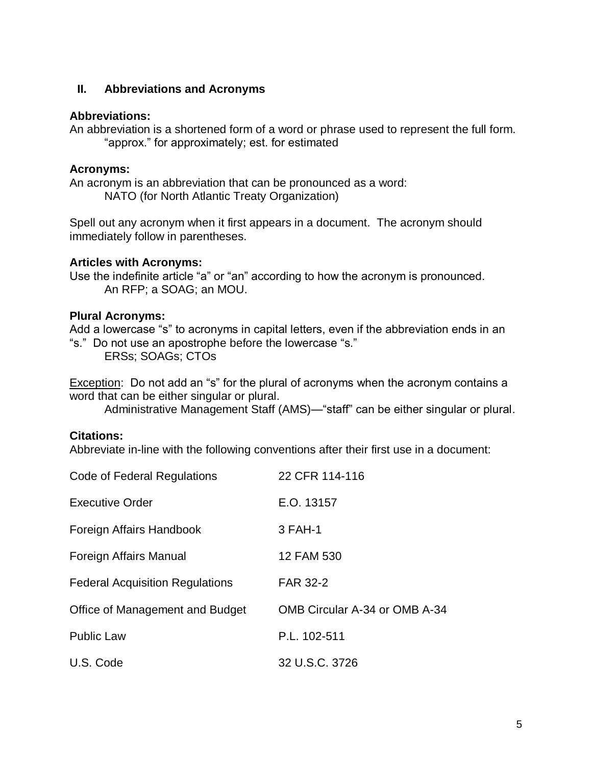## <span id="page-4-0"></span>**II. Abbreviations and Acronyms**

#### **Abbreviations:**

An abbreviation is a shortened form of a word or phrase used to represent the full form. "approx." for approximately; est. for estimated

## **Acronyms:**

An acronym is an abbreviation that can be pronounced as a word: NATO (for North Atlantic Treaty Organization)

Spell out any acronym when it first appears in a document. The acronym should immediately follow in parentheses.

## **Articles with Acronyms:**

Use the indefinite article "a" or "an" according to how the acronym is pronounced. An RFP; a SOAG; an MOU.

## **Plural Acronyms:**

Add a lowercase "s" to acronyms in capital letters, even if the abbreviation ends in an "s." Do not use an apostrophe before the lowercase "s."

ERSs; SOAGs; CTOs

Exception: Do not add an "s" for the plural of acronyms when the acronym contains a word that can be either singular or plural.

Administrative Management Staff (AMS)—"staff" can be either singular or plural.

## **Citations:**

Abbreviate in-line with the following conventions after their first use in a document:

| Code of Federal Regulations            | 22 CFR 114-116                |
|----------------------------------------|-------------------------------|
| <b>Executive Order</b>                 | E.O. 13157                    |
| Foreign Affairs Handbook               | 3 FAH-1                       |
| Foreign Affairs Manual                 | 12 FAM 530                    |
| <b>Federal Acquisition Regulations</b> | <b>FAR 32-2</b>               |
| Office of Management and Budget        | OMB Circular A-34 or OMB A-34 |
| <b>Public Law</b>                      | P.L. 102-511                  |
| U.S. Code                              | 32 U.S.C. 3726                |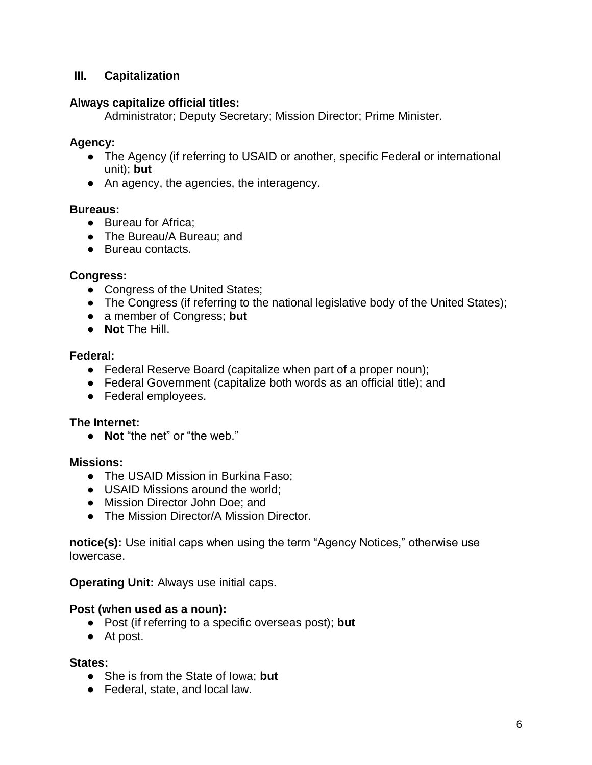## <span id="page-5-0"></span>**III. Capitalization**

#### **Always capitalize official titles:**

Administrator; Deputy Secretary; Mission Director; Prime Minister.

#### **Agency:**

- The Agency (if referring to USAID or another, specific Federal or international unit); **but**
- An agency, the agencies, the interagency.

#### **Bureaus:**

- Bureau for Africa:
- The Bureau/A Bureau; and
- Bureau contacts.

#### **Congress:**

- Congress of the United States;
- The Congress (if referring to the national legislative body of the United States);
- a member of Congress; **but**
- **Not** The Hill.

#### **Federal:**

- Federal Reserve Board (capitalize when part of a proper noun);
- Federal Government (capitalize both words as an official title); and
- Federal employees.

#### **The Internet:**

● **Not** "the net" or "the web."

#### **Missions:**

- The USAID Mission in Burkina Faso;
- USAID Missions around the world;
- Mission Director John Doe: and
- The Mission Director/A Mission Director.

**notice(s):** Use initial caps when using the term "Agency Notices," otherwise use lowercase.

**Operating Unit:** Always use initial caps.

#### **Post (when used as a noun):**

- Post (if referring to a specific overseas post); **but**
- At post.

#### **States:**

- She is from the State of Iowa; **but**
- Federal, state, and local law.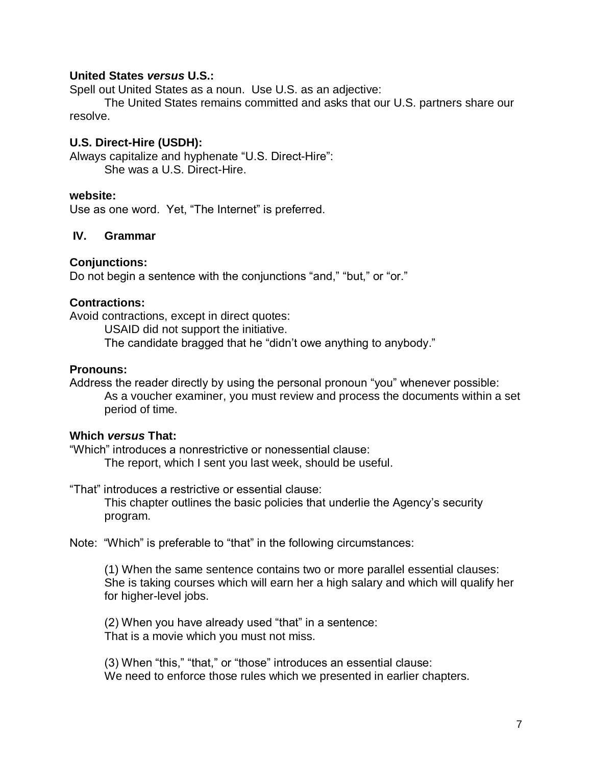## **United States** *versus* **U.S.:**

Spell out United States as a noun. Use U.S. as an adjective:

The United States remains committed and asks that our U.S. partners share our resolve.

#### **U.S. Direct-Hire (USDH):**

Always capitalize and hyphenate "U.S. Direct-Hire": She was a U.S. Direct-Hire.

#### **website:**

Use as one word. Yet, "The Internet" is preferred.

#### <span id="page-6-0"></span>**IV. Grammar**

#### **Conjunctions:**

Do not begin a sentence with the conjunctions "and," "but," or "or."

#### **Contractions:**

Avoid contractions, except in direct quotes:

USAID did not support the initiative.

The candidate bragged that he "didn't owe anything to anybody."

#### **Pronouns:**

Address the reader directly by using the personal pronoun "you" whenever possible: As a voucher examiner, you must review and process the documents within a set period of time.

#### **Which** *versus* **That:**

"Which" introduces a nonrestrictive or nonessential clause: The report, which I sent you last week, should be useful.

"That" introduces a restrictive or essential clause:

This chapter outlines the basic policies that underlie the Agency's security program.

Note: "Which" is preferable to "that" in the following circumstances:

(1) When the same sentence contains two or more parallel essential clauses: She is taking courses which will earn her a high salary and which will qualify her for higher-level jobs.

(2) When you have already used "that" in a sentence: That is a movie which you must not miss.

(3) When "this," "that," or "those" introduces an essential clause: We need to enforce those rules which we presented in earlier chapters.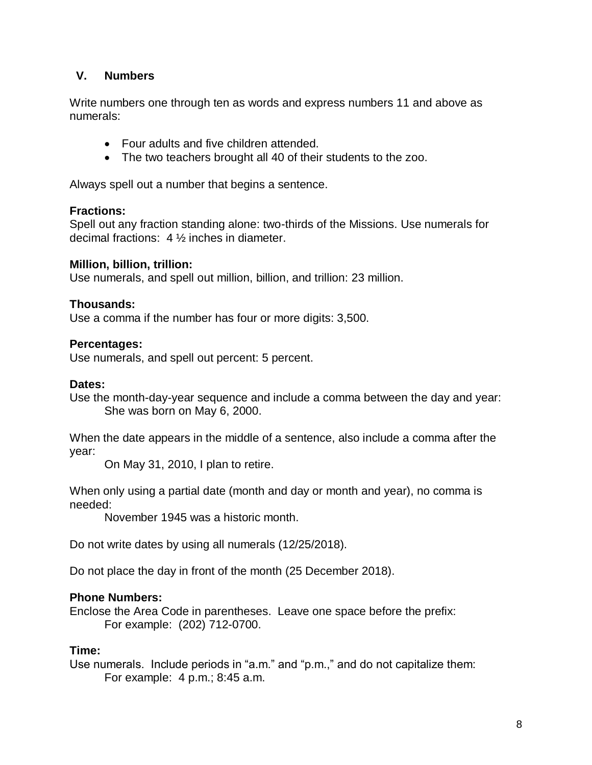## <span id="page-7-0"></span>**V. Numbers**

Write numbers one through ten as words and express numbers 11 and above as numerals:

- Four adults and five children attended.
- The two teachers brought all 40 of their students to the zoo.

Always spell out a number that begins a sentence.

#### **Fractions:**

Spell out any fraction standing alone: two-thirds of the Missions. Use numerals for decimal fractions: 4 ½ inches in diameter.

#### **Million, billion, trillion:**

Use numerals, and spell out million, billion, and trillion: 23 million.

#### **Thousands:**

Use a comma if the number has four or more digits: 3,500.

#### **Percentages:**

Use numerals, and spell out percent: 5 percent.

#### **Dates:**

Use the month-day-year sequence and include a comma between the day and year: She was born on May 6, 2000.

When the date appears in the middle of a sentence, also include a comma after the year:

On May 31, 2010, I plan to retire.

When only using a partial date (month and day or month and year), no comma is needed:

November 1945 was a historic month.

Do not write dates by using all numerals (12/25/2018).

Do not place the day in front of the month (25 December 2018).

#### **Phone Numbers:**

Enclose the Area Code in parentheses. Leave one space before the prefix: For example: (202) 712-0700.

#### **Time:**

Use numerals. Include periods in "a.m." and "p.m.," and do not capitalize them: For example: 4 p.m.; 8:45 a.m.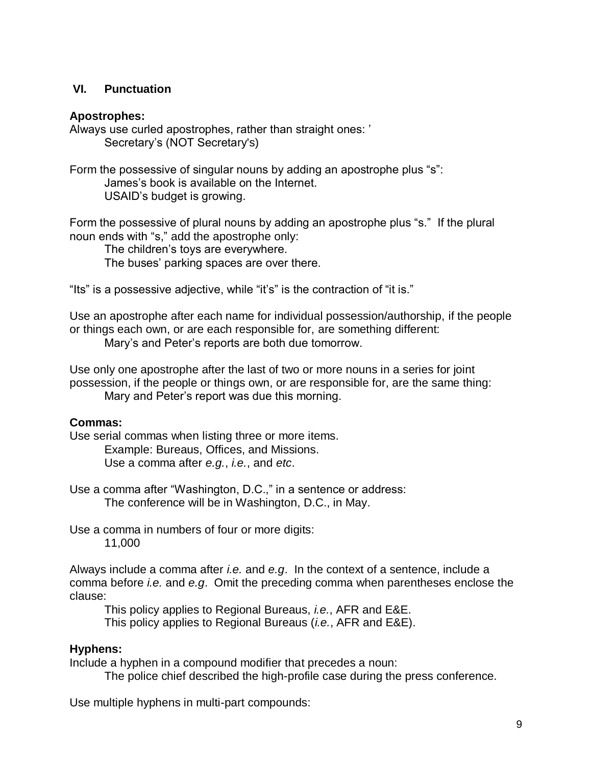## <span id="page-8-0"></span>**VI. Punctuation**

#### **Apostrophes:**

Always use curled apostrophes, rather than straight ones: ' Secretary's (NOT Secretary's)

Form the possessive of singular nouns by adding an apostrophe plus "s": James's book is available on the Internet. USAID's budget is growing.

Form the possessive of plural nouns by adding an apostrophe plus "s." If the plural noun ends with "s," add the apostrophe only:

The children's toys are everywhere. The buses' parking spaces are over there.

"Its" is a possessive adjective, while "it's" is the contraction of "it is."

Use an apostrophe after each name for individual possession/authorship, if the people or things each own, or are each responsible for, are something different: Mary's and Peter's reports are both due tomorrow.

Use only one apostrophe after the last of two or more nouns in a series for joint possession, if the people or things own, or are responsible for, are the same thing: Mary and Peter's report was due this morning.

## **Commas:**

Use serial commas when listing three or more items. Example: Bureaus, Offices, and Missions. Use a comma after *e.g.*, *i.e.*, and *etc*.

Use a comma after "Washington, D.C.," in a sentence or address: The conference will be in Washington, D.C., in May.

Use a comma in numbers of four or more digits: 11,000

Always include a comma after *i.e.* and *e.g*. In the context of a sentence, include a comma before *i.e.* and *e.g*. Omit the preceding comma when parentheses enclose the clause:

This policy applies to Regional Bureaus, *i.e.*, AFR and E&E. This policy applies to Regional Bureaus (*i.e.*, AFR and E&E).

## **Hyphens:**

Include a hyphen in a compound modifier that precedes a noun:

The police chief described the high-profile case during the press conference.

Use multiple hyphens in multi-part compounds: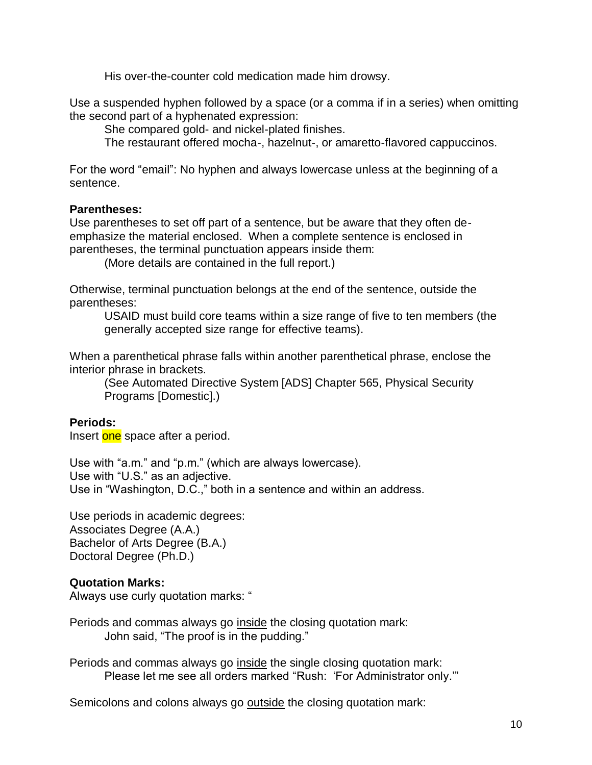His over-the-counter cold medication made him drowsy.

Use a suspended hyphen followed by a space (or a comma if in a series) when omitting the second part of a hyphenated expression:

She compared gold- and nickel-plated finishes.

The restaurant offered mocha-, hazelnut-, or amaretto-flavored cappuccinos.

For the word "email": No hyphen and always lowercase unless at the beginning of a sentence.

#### **Parentheses:**

Use parentheses to set off part of a sentence, but be aware that they often deemphasize the material enclosed. When a complete sentence is enclosed in parentheses, the terminal punctuation appears inside them:

(More details are contained in the full report.)

Otherwise, terminal punctuation belongs at the end of the sentence, outside the parentheses:

USAID must build core teams within a size range of five to ten members (the generally accepted size range for effective teams).

When a parenthetical phrase falls within another parenthetical phrase, enclose the interior phrase in brackets.

(See Automated Directive System [ADS] Chapter 565, Physical Security Programs [Domestic].)

## **Periods:**

Insert one space after a period.

Use with "a.m." and "p.m." (which are always lowercase). Use with "U.S." as an adjective. Use in "Washington, D.C.," both in a sentence and within an address.

Use periods in academic degrees: Associates Degree (A.A.) Bachelor of Arts Degree (B.A.) Doctoral Degree (Ph.D.)

## **Quotation Marks:**

Always use curly quotation marks: "

Periods and commas always go inside the closing quotation mark: John said, "The proof is in the pudding."

Periods and commas always go inside the single closing quotation mark: Please let me see all orders marked "Rush: 'For Administrator only.'"

Semicolons and colons always go outside the closing quotation mark: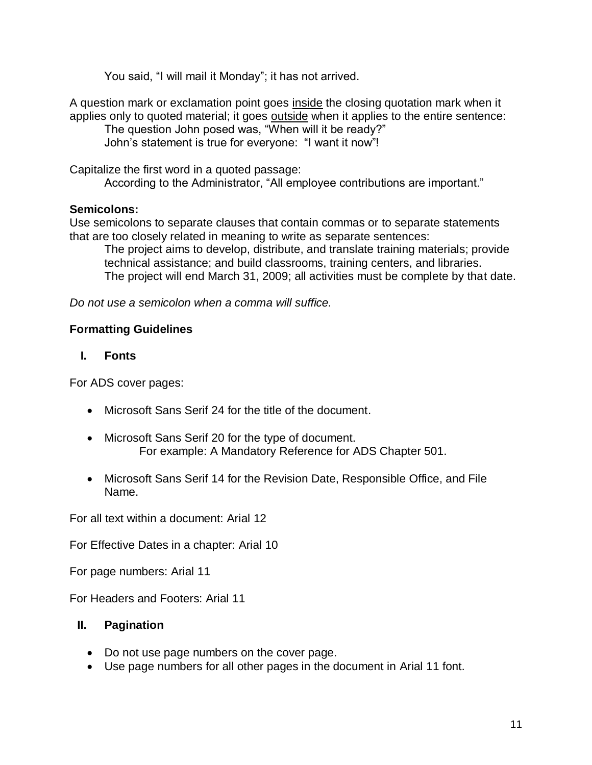You said, "I will mail it Monday"; it has not arrived.

A question mark or exclamation point goes inside the closing quotation mark when it applies only to quoted material; it goes outside when it applies to the entire sentence: The question John posed was, "When will it be ready?"

John's statement is true for everyone: "I want it now"!

Capitalize the first word in a quoted passage:

According to the Administrator, "All employee contributions are important."

## **Semicolons:**

Use semicolons to separate clauses that contain commas or to separate statements that are too closely related in meaning to write as separate sentences:

The project aims to develop, distribute, and translate training materials; provide technical assistance; and build classrooms, training centers, and libraries. The project will end March 31, 2009; all activities must be complete by that date.

*Do not use a semicolon when a comma will suffice.*

## <span id="page-10-0"></span>**Formatting Guidelines**

## <span id="page-10-1"></span>**I. Fonts**

For ADS cover pages:

- Microsoft Sans Serif 24 for the title of the document.
- Microsoft Sans Serif 20 for the type of document. For example: A Mandatory Reference for ADS Chapter 501.
- Microsoft Sans Serif 14 for the Revision Date, Responsible Office, and File Name.

For all text within a document: Arial 12

For Effective Dates in a chapter: Arial 10

For page numbers: Arial 11

For Headers and Footers: Arial 11

## <span id="page-10-2"></span>**II. Pagination**

- Do not use page numbers on the cover page.
- Use page numbers for all other pages in the document in Arial 11 font.